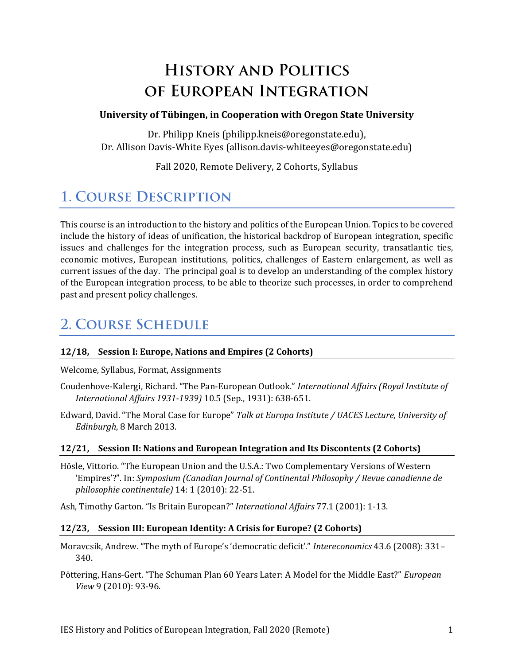# **HISTORY AND POLITICS** OF EUROPEAN INTEGRATION

#### **University of Tübingen, in Cooperation with Oregon State University**

Dr. Philipp Kneis (philipp.kneis@oregonstate.edu), Dr. Allison Davis-White Eyes (allison.davis-whiteeyes@oregonstate.edu)

Fall 2020, Remote Delivery, 2 Cohorts, Syllabus

## **1. COURSE DESCRIPTION**

This course is an introduction to the history and politics of the European Union. Topics to be covered include the history of ideas of unification, the historical backdrop of European integration, specific issues and challenges for the integration process, such as European security, transatlantic ties, economic motives, European institutions, politics, challenges of Eastern enlargement, as well as current issues of the day. The principal goal is to develop an understanding of the complex history of the European integration process, to be able to theorize such processes, in order to comprehend past and present policy challenges.

## **2. COURSE SCHEDULE**

#### **12/18, Session I: Europe, Nations and Empires (2 Cohorts)**

Welcome, Syllabus, Format, Assignments

- Coudenhove-Kalergi, Richard. "The Pan-European Outlook." *International Affairs (Royal Institute of International Affairs 1931-1939)* 10.5 (Sep., 1931): 638-651.
- Edward, David. "The Moral Case for Europe" *Talk at Europa Institute / UACES Lecture, University of Edinburgh*, 8 March 2013.

#### **12/21, Session II: Nations and European Integration and Its Discontents (2 Cohorts)**

Hösle, Vittorio. "The European Union and the U.S.A.: Two Complementary Versions of Western 'Empires'?". In: *Symposium (Canadian Journal of Continental Philosophy / Revue canadienne de philosophie continentale)* 14: 1 (2010): 22-51.

Ash, Timothy Garton. "Is Britain European?" *International Affairs* 77.1 (2001): 1-13.

#### **12/23, Session III: European Identity: A Crisis for Europe? (2 Cohorts)**

Moravcsik, Andrew. "The myth of Europe's 'democratic deficit'." *Intereconomics* 43.6 (2008): 331– 340.

Pöttering, Hans-Gert. "The Schuman Plan 60 Years Later: A Model for the Middle East?" *European View* 9 (2010): 93-96.